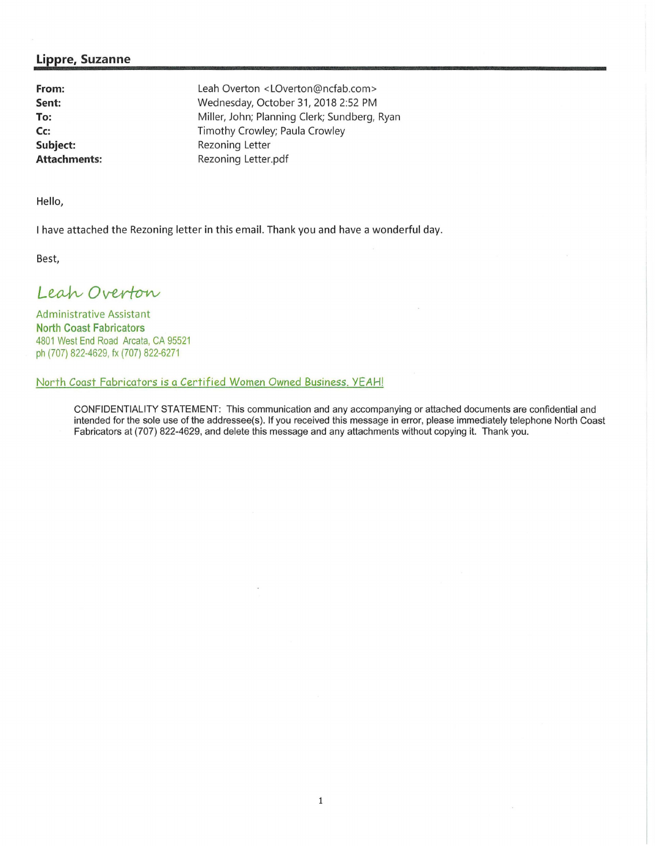## **Lippre, Suzanne**

**From: Sent: To: Cc: Subject: Attachments:**  Leah Overton < LOverton@ncfab.com > Wednesday, October 31, 2018 2:52 PM Miller, John; Planning Clerk; Sundberg, Ryan Timothy Crowley; Paula Crowley Rezoning Letter Rezoning Letter.pdf

Hello,

I have attached the Rezoning letter in this email. Thank you and have a wonderful day.

Best,

Leah Overton

Administrative Assistant **North Coast Fabricators**  4801 West End Road Arcata, CA 95521 ph (707) 822-4629, fx (707) 822-6271

## North Coast Fabricators is a Certified Women Owned Business. YEAH!

CONFIDENTIALITY STATEMENT: This communication and any accompanying or attached documents are confidential and intended for the sole use of the addressee(s). If you received this message in error, please immediately telephone North Coast Fabricators at (707) 822-4629, and delete this message and any attachments without copying it. Thank you .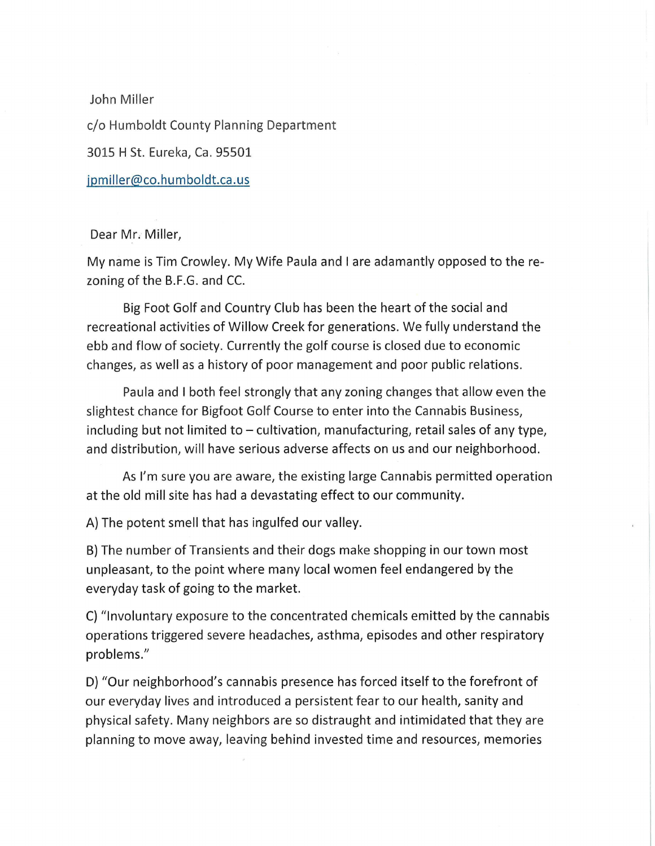John Miller c/o Humboldt County Planning Department 3015 H St. Eureka, Ca. 95501 jpmiller@co.humboldt.ca.us

Dear Mr, Miller,

My name is Tim Crowley. My Wife Paula and I are adamantly opposed to the rezoning of the B.F.G. and CC.

Big Foot Golf and Country Club has been the heart of the social and recreational activities of Willow Creek for generations. We fully understand the ebb and flow of society. Currently the golf course is closed due to economic changes, as well as a history of poor management and poor public relations.

Paula and I both feel strongly that any zoning changes that allow even the slightest chance for Bigfoot Golf Course to enter into the Cannabis Business, including but not limited to  $-$  cultivation, manufacturing, retail sales of any type, and distribution, will have serious adverse affects on us and our neighborhood.

As I'm sure you are aware, the existing large Cannabis permitted operation at the old mill site has had a devastating effect to our community.

A) The potent smell that has ingulfed our valley.

B) The number of Transients and their dogs make shopping in our town most unpleasant, to the point where many local women feel endangered by the everyday task of going to the market.

C) "Involuntary exposure to the concentrated chemicals emitted by the cannabis operations triggered severe headaches, asthma, episodes and other respiratory problems."

D) "Our neighborhood's cannabis presence has forced itself to the forefront of our everyday lives and introduced a persistent fear to our health, sanity and physical safety. Many neighbors are so distraught and intimidated that they are planning to move away, leaving behind invested time and resources, memories